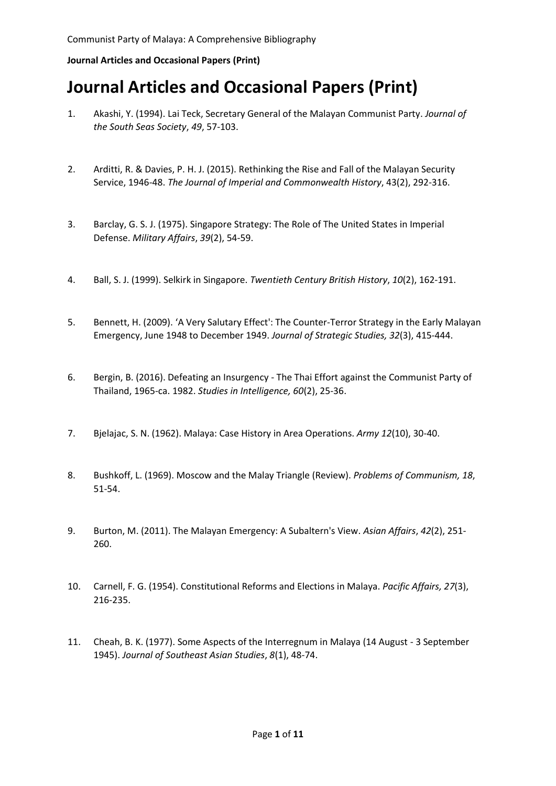- 1. Akashi, Y. (1994). Lai Teck, Secretary General of the Malayan Communist Party. *Journal of the South Seas Society*, *49*, 57-103.
- 2. Arditti, R. & Davies, P. H. J. (2015). Rethinking the Rise and Fall of the Malayan Security Service, 1946-48. *The Journal of Imperial and Commonwealth History*, 43(2), 292-316.
- 3. Barclay, G. S. J. (1975). Singapore Strategy: The Role of The United States in Imperial Defense. *Military Affairs*, *39*(2), 54-59.
- 4. Ball, S. J. (1999). Selkirk in Singapore. *Twentieth Century British History*, *10*(2), 162-191.
- 5. Bennett, H. (2009). 'A Very Salutary Effect': The Counter-Terror Strategy in the Early Malayan Emergency, June 1948 to December 1949. *Journal of Strategic Studies, 32*(3), 415-444.
- 6. Bergin, B. (2016). Defeating an Insurgency The Thai Effort against the Communist Party of Thailand, 1965-ca. 1982. *Studies in Intelligence, 60*(2), 25-36.
- 7. Bjelajac, S. N. (1962). Malaya: Case History in Area Operations. *Army 12*(10), 30-40.
- 8. Bushkoff, L. (1969). Moscow and the Malay Triangle (Review). *Problems of Communism, 18*, 51-54.
- 9. Burton, M. (2011). The Malayan Emergency: A Subaltern's View. *Asian Affairs*, *42*(2), 251- 260.
- 10. Carnell, F. G. (1954). Constitutional Reforms and Elections in Malaya. *Pacific Affairs, 27*(3), 216-235.
- 11. Cheah, B. K. (1977). Some Aspects of the Interregnum in Malaya (14 August 3 September 1945). *Journal of Southeast Asian Studies*, *8*(1), 48-74.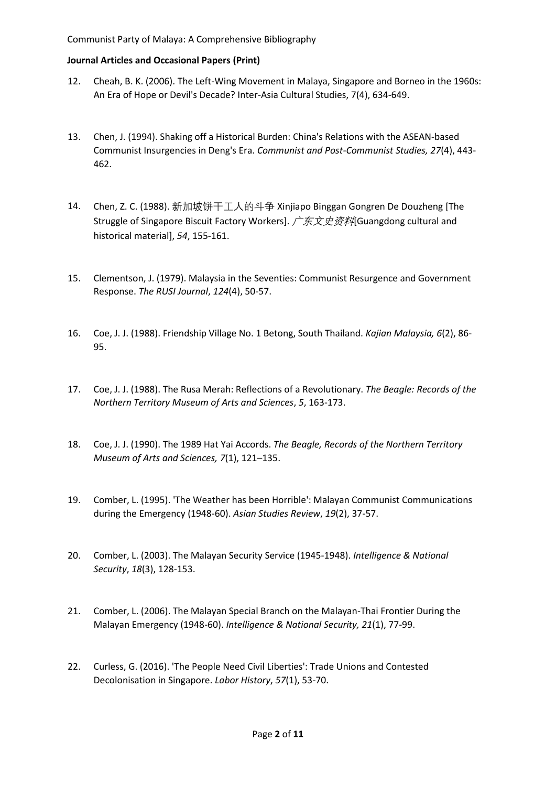- 12. Cheah, B. K. (2006). The Left-Wing Movement in Malaya, Singapore and Borneo in the 1960s: An Era of Hope or Devil's Decade? Inter-Asia Cultural Studies, 7(4), 634-649.
- 13. Chen, J. (1994). Shaking off a Historical Burden: China's Relations with the ASEAN-based Communist Insurgencies in Deng's Era. *Communist and Post-Communist Studies, 27*(4), 443- 462.
- 14. Chen, Z. C. (1988). 新加坡饼干工人的斗争 Xinjiapo Binggan Gongren De Douzheng [The Struggle of Singapore Biscuit Factory Workers]. 广东文史资料[Guangdong cultural and historical material], *54*, 155-161.
- 15. Clementson, J. (1979). Malaysia in the Seventies: Communist Resurgence and Government Response. *The RUSI Journal*, *124*(4), 50-57.
- 16. Coe, J. J. (1988). Friendship Village No. 1 Betong, South Thailand. *Kajian Malaysia, 6*(2), 86- 95.
- 17. Coe, J. J. (1988). The Rusa Merah: Reflections of a Revolutionary. *The Beagle: Records of the Northern Territory Museum of Arts and Sciences*, *5*, 163-173.
- 18. Coe, J. J. (1990). The 1989 Hat Yai Accords. *The Beagle, Records of the Northern Territory Museum of Arts and Sciences, 7*(1), 121–135.
- 19. Comber, L. (1995). 'The Weather has been Horrible': Malayan Communist Communications during the Emergency (1948-60). *Asian Studies Review*, *19*(2), 37-57.
- 20. Comber, L. (2003). The Malayan Security Service (1945-1948). *Intelligence & National Security*, *18*(3), 128-153.
- 21. Comber, L. (2006). The Malayan Special Branch on the Malayan-Thai Frontier During the Malayan Emergency (1948-60). *Intelligence & National Security, 21*(1), 77-99.
- 22. Curless, G. (2016). 'The People Need Civil Liberties': Trade Unions and Contested Decolonisation in Singapore. *Labor History*, *57*(1), 53-70.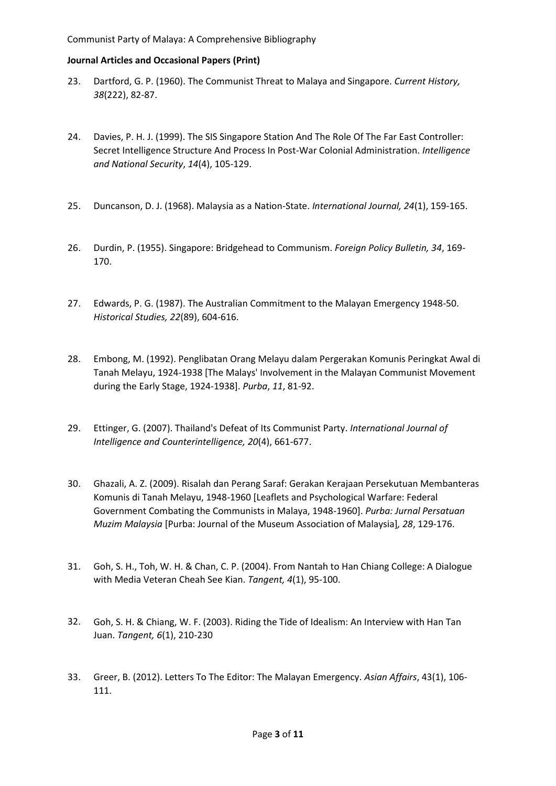- 23. Dartford, G. P. (1960). The Communist Threat to Malaya and Singapore. *Current History, 38*(222), 82-87.
- 24. Davies, P. H. J. (1999). The SIS Singapore Station And The Role Of The Far East Controller: Secret Intelligence Structure And Process In Post-War Colonial Administration. *Intelligence and National Security*, *14*(4), 105-129.
- 25. Duncanson, D. J. (1968). Malaysia as a Nation-State. *International Journal, 24*(1), 159-165.
- 26. Durdin, P. (1955). Singapore: Bridgehead to Communism. *Foreign Policy Bulletin, 34*, 169- 170.
- 27. Edwards, P. G. (1987). The Australian Commitment to the Malayan Emergency 1948-50. *Historical Studies, 22*(89), 604-616.
- 28. Embong, M. (1992). Penglibatan Orang Melayu dalam Pergerakan Komunis Peringkat Awal di Tanah Melayu, 1924-1938 [The Malays' Involvement in the Malayan Communist Movement during the Early Stage, 1924-1938]. *Purba*, *11*, 81-92.
- 29. Ettinger, G. (2007). Thailand's Defeat of Its Communist Party. *International Journal of Intelligence and Counterintelligence, 20*(4), 661-677.
- 30. Ghazali, A. Z. (2009). Risalah dan Perang Saraf: Gerakan Kerajaan Persekutuan Membanteras Komunis di Tanah Melayu, 1948-1960 [Leaflets and Psychological Warfare: Federal Government Combating the Communists in Malaya, 1948-1960]. *Purba: Jurnal Persatuan Muzim Malaysia* [Purba: Journal of the Museum Association of Malaysia]*, 28*, 129-176.
- 31. Goh, S. H., Toh, W. H. & Chan, C. P. (2004). From Nantah to Han Chiang College: A Dialogue with Media Veteran Cheah See Kian. *Tangent, 4*(1), 95-100.
- 32. Goh, S. H. & Chiang, W. F. (2003). Riding the Tide of Idealism: An Interview with Han Tan Juan. *Tangent, 6*(1), 210-230
- 33. Greer, B. (2012). Letters To The Editor: The Malayan Emergency. *Asian Affairs*, 43(1), 106- 111.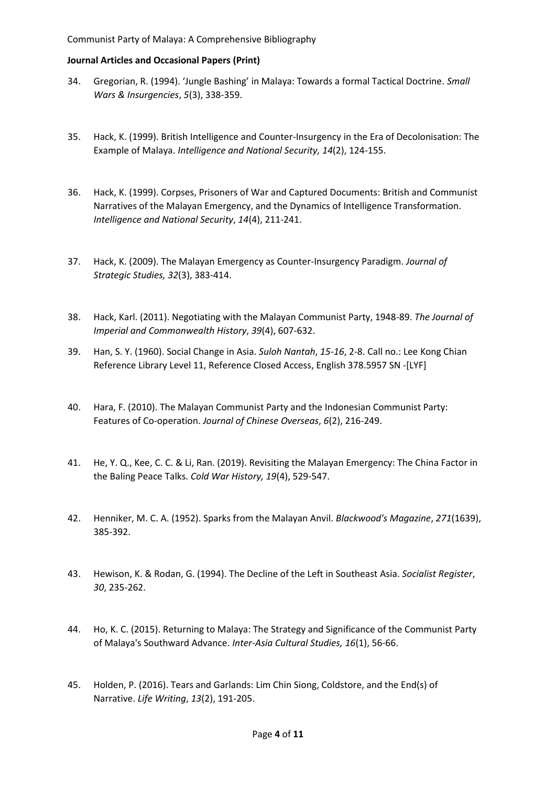- 34. Gregorian, R. (1994). 'Jungle Bashing' in Malaya: Towards a formal Tactical Doctrine. *Small Wars & Insurgencies*, *5*(3), 338-359.
- 35. Hack, K. (1999). British Intelligence and Counter-Insurgency in the Era of Decolonisation: The Example of Malaya. *Intelligence and National Security, 14*(2), 124-155.
- 36. Hack, K. (1999). Corpses, Prisoners of War and Captured Documents: British and Communist Narratives of the Malayan Emergency, and the Dynamics of Intelligence Transformation. *Intelligence and National Security*, *14*(4), 211-241.
- 37. Hack, K. (2009). The Malayan Emergency as Counter-Insurgency Paradigm. *Journal of Strategic Studies, 32*(3), 383-414.
- 38. Hack, Karl. (2011). Negotiating with the Malayan Communist Party, 1948-89. *The Journal of Imperial and Commonwealth History*, *39*(4), 607-632.
- 39. Han, S. Y. (1960). Social Change in Asia. *Suloh Nantah*, *15-16*, 2-8. Call no.: Lee Kong Chian Reference Library Level 11, Reference Closed Access, English 378.5957 SN -[LYF]
- 40. Hara, F. (2010). The Malayan Communist Party and the Indonesian Communist Party: Features of Co-operation. *Journal of Chinese Overseas*, *6*(2), 216-249.
- 41. He, Y. Q., Kee, C. C. & Li, Ran. (2019). Revisiting the Malayan Emergency: The China Factor in the Baling Peace Talks. *Cold War History, 19*(4), 529-547.
- 42. Henniker, M. C. A. (1952). Sparks from the Malayan Anvil. *Blackwood's Magazine*, *271*(1639), 385-392.
- 43. Hewison, K. & Rodan, G. (1994). The Decline of the Left in Southeast Asia. *Socialist Register*, *30*, 235-262.
- 44. Ho, K. C. (2015). Returning to Malaya: The Strategy and Significance of the Communist Party of Malaya's Southward Advance. *Inter-Asia Cultural Studies, 16*(1), 56-66.
- 45. Holden, P. (2016). Tears and Garlands: Lim Chin Siong, Coldstore, and the End(s) of Narrative. *Life Writing*, *13*(2), 191-205.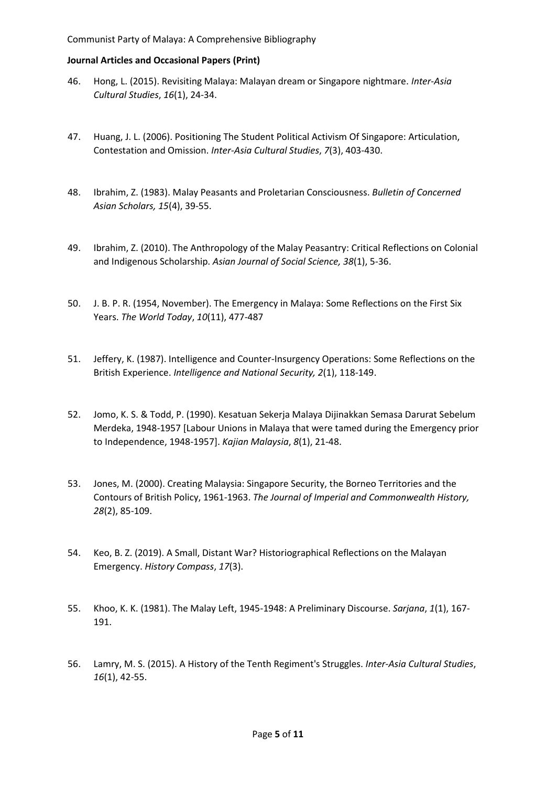- 46. Hong, L. (2015). Revisiting Malaya: Malayan dream or Singapore nightmare. *Inter-Asia Cultural Studies*, *16*(1), 24-34.
- 47. Huang, J. L. (2006). Positioning The Student Political Activism Of Singapore: Articulation, Contestation and Omission. *Inter-Asia Cultural Studies*, *7*(3), 403-430.
- 48. Ibrahim, Z. (1983). Malay Peasants and Proletarian Consciousness. *Bulletin of Concerned Asian Scholars, 15*(4), 39-55.
- 49. Ibrahim, Z. (2010). The Anthropology of the Malay Peasantry: Critical Reflections on Colonial and Indigenous Scholarship. *Asian Journal of Social Science, 38*(1), 5-36.
- 50. J. B. P. R. (1954, November). The Emergency in Malaya: Some Reflections on the First Six Years. *The World Today*, *10*(11), 477-487
- 51. Jeffery, K. (1987). Intelligence and Counter-Insurgency Operations: Some Reflections on the British Experience. *Intelligence and National Security, 2*(1), 118-149.
- 52. Jomo, K. S. & Todd, P. (1990). Kesatuan Sekerja Malaya Dijinakkan Semasa Darurat Sebelum Merdeka, 1948-1957 [Labour Unions in Malaya that were tamed during the Emergency prior to Independence, 1948-1957]. *Kajian Malaysia*, *8*(1), 21-48.
- 53. Jones, M. (2000). Creating Malaysia: Singapore Security, the Borneo Territories and the Contours of British Policy, 1961-1963. *The Journal of Imperial and Commonwealth History, 28*(2), 85-109.
- 54. Keo, B. Z. (2019). A Small, Distant War? Historiographical Reflections on the Malayan Emergency. *History Compass*, *17*(3).
- 55. Khoo, K. K. (1981). The Malay Left, 1945-1948: A Preliminary Discourse. *Sarjana*, *1*(1), 167- 191.
- 56. Lamry, M. S. (2015). A History of the Tenth Regiment's Struggles. *Inter-Asia Cultural Studies*, *16*(1), 42-55.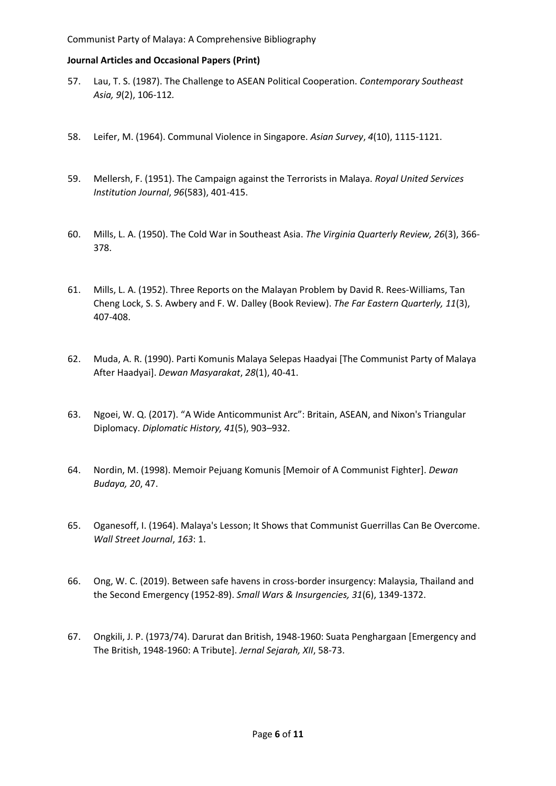- 57. Lau, T. S. (1987). The Challenge to ASEAN Political Cooperation. *Contemporary Southeast Asia, 9*(2), 106-112*.*
- 58. Leifer, M. (1964). Communal Violence in Singapore. *Asian Survey*, *4*(10), 1115-1121.
- 59. Mellersh, F. (1951). The Campaign against the Terrorists in Malaya. *Royal United Services Institution Journal*, *96*(583), 401-415.
- 60. Mills, L. A. (1950). The Cold War in Southeast Asia. *The Virginia Quarterly Review, 26*(3), 366- 378.
- 61. Mills, L. A. (1952). Three Reports on the Malayan Problem by David R. Rees-Williams, Tan Cheng Lock, S. S. Awbery and F. W. Dalley (Book Review). *The Far Eastern Quarterly, 11*(3), 407-408.
- 62. Muda, A. R. (1990). Parti Komunis Malaya Selepas Haadyai [The Communist Party of Malaya After Haadyai]. *Dewan Masyarakat*, *28*(1), 40-41.
- 63. Ngoei, W. Q. (2017). "A Wide Anticommunist Arc": Britain, ASEAN, and Nixon's Triangular Diplomacy. *Diplomatic History, 41*(5), 903–932.
- 64. Nordin, M. (1998). Memoir Pejuang Komunis [Memoir of A Communist Fighter]. *Dewan Budaya, 20*, 47.
- 65. Oganesoff, I. (1964). Malaya's Lesson; It Shows that Communist Guerrillas Can Be Overcome. *Wall Street Journal*, *163*: 1.
- 66. Ong, W. C. (2019). Between safe havens in cross-border insurgency: Malaysia, Thailand and the Second Emergency (1952-89). *Small Wars & Insurgencies, 31*(6), 1349-1372.
- 67. Ongkili, J. P. (1973/74). Darurat dan British, 1948-1960: Suata Penghargaan [Emergency and The British, 1948-1960: A Tribute]. *Jernal Sejarah, XII*, 58-73.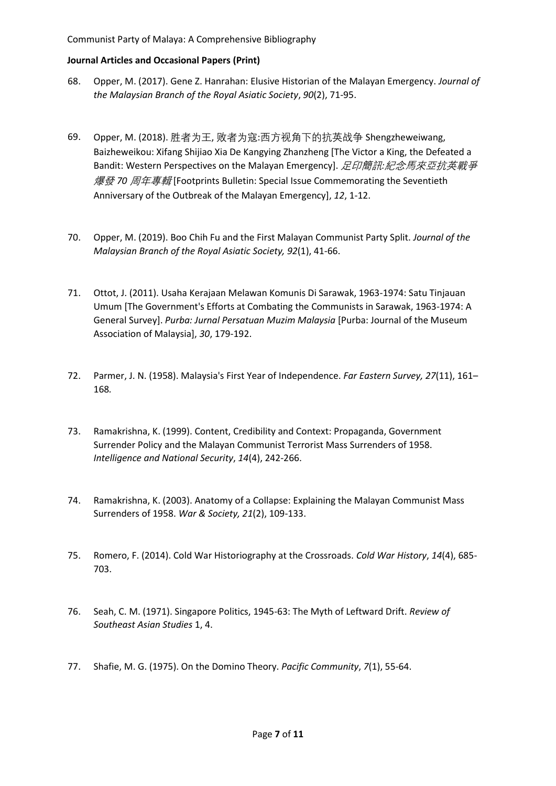- 68. Opper, M. (2017). Gene Z. Hanrahan: Elusive Historian of the Malayan Emergency. *Journal of the Malaysian Branch of the Royal Asiatic Society*, *90*(2), 71-95.
- 69. Opper, M. (2018). 胜者为王, 败者为寇:西方视角下的抗英战争 Shengzheweiwang, Baizheweikou: Xifang Shijiao Xia De Kangying Zhanzheng [The Victor a King, the Defeated a Bandit: Western Perspectives on the Malayan Emergency]. 足印簡訊*:*紀念馬來亞抗英戰爭 爆發 *70* 周年專輯 [Footprints Bulletin: Special Issue Commemorating the Seventieth Anniversary of the Outbreak of the Malayan Emergency], *12*, 1-12.
- 70. Opper, M. (2019). Boo Chih Fu and the First Malayan Communist Party Split. *Journal of the Malaysian Branch of the Royal Asiatic Society, 92*(1), 41-66.
- 71. Ottot, J. (2011). Usaha Kerajaan Melawan Komunis Di Sarawak, 1963-1974: Satu Tinjauan Umum [The Government's Efforts at Combating the Communists in Sarawak, 1963-1974: A General Survey]. *Purba: Jurnal Persatuan Muzim Malaysia* [Purba: Journal of the Museum Association of Malaysia], *30*, 179-192.
- 72. Parmer, J. N. (1958). Malaysia's First Year of Independence. *Far Eastern Survey, 27*(11), 161– 168*.*
- 73. Ramakrishna, K. (1999). Content, Credibility and Context: Propaganda, Government Surrender Policy and the Malayan Communist Terrorist Mass Surrenders of 1958. *Intelligence and National Security*, *14*(4), 242-266.
- 74. Ramakrishna, K. (2003). Anatomy of a Collapse: Explaining the Malayan Communist Mass Surrenders of 1958. *War & Society, 21*(2), 109-133.
- 75. Romero, F. (2014). Cold War Historiography at the Crossroads. *Cold War History*, *14*(4), 685- 703.
- 76. Seah, C. M. (1971). Singapore Politics, 1945-63: The Myth of Leftward Drift. *Review of Southeast Asian Studies* 1, 4.
- 77. Shafie, M. G. (1975). On the Domino Theory. *Pacific Community*, *7*(1), 55-64.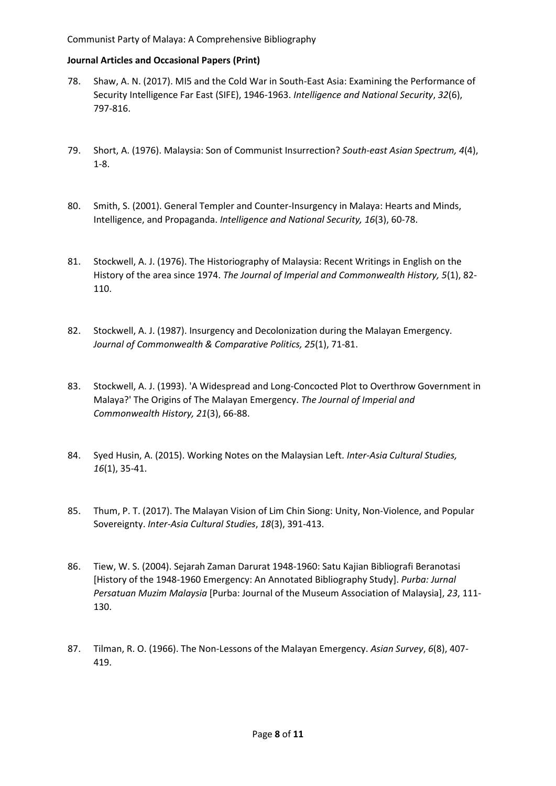- 78. Shaw, A. N. (2017). MI5 and the Cold War in South-East Asia: Examining the Performance of Security Intelligence Far East (SIFE), 1946-1963. *Intelligence and National Security*, *32*(6), 797-816.
- 79. Short, A. (1976). Malaysia: Son of Communist Insurrection? *South-east Asian Spectrum, 4*(4), 1-8.
- 80. Smith, S. (2001). General Templer and Counter-Insurgency in Malaya: Hearts and Minds, Intelligence, and Propaganda. *Intelligence and National Security, 16*(3), 60-78.
- 81. Stockwell, A. J. (1976). The Historiography of Malaysia: Recent Writings in English on the History of the area since 1974. *The Journal of Imperial and Commonwealth History, 5*(1), 82- 110.
- 82. Stockwell, A. J. (1987). Insurgency and Decolonization during the Malayan Emergency. *Journal of Commonwealth & Comparative Politics, 25*(1), 71-81.
- 83. Stockwell, A. J. (1993). 'A Widespread and Long-Concocted Plot to Overthrow Government in Malaya?' The Origins of The Malayan Emergency. *The Journal of Imperial and Commonwealth History, 21*(3), 66-88.
- 84. Syed Husin, A. (2015). Working Notes on the Malaysian Left. *Inter-Asia Cultural Studies, 16*(1), 35-41.
- 85. Thum, P. T. (2017). The Malayan Vision of Lim Chin Siong: Unity, Non-Violence, and Popular Sovereignty. *Inter-Asia Cultural Studies*, *18*(3), 391-413.
- 86. Tiew, W. S. (2004). Sejarah Zaman Darurat 1948-1960: Satu Kajian Bibliografi Beranotasi [History of the 1948-1960 Emergency: An Annotated Bibliography Study]. *Purba: Jurnal Persatuan Muzim Malaysia* [Purba: Journal of the Museum Association of Malaysia], *23*, 111- 130.
- 87. Tilman, R. O. (1966). The Non-Lessons of the Malayan Emergency. *Asian Survey*, *6*(8), 407- 419.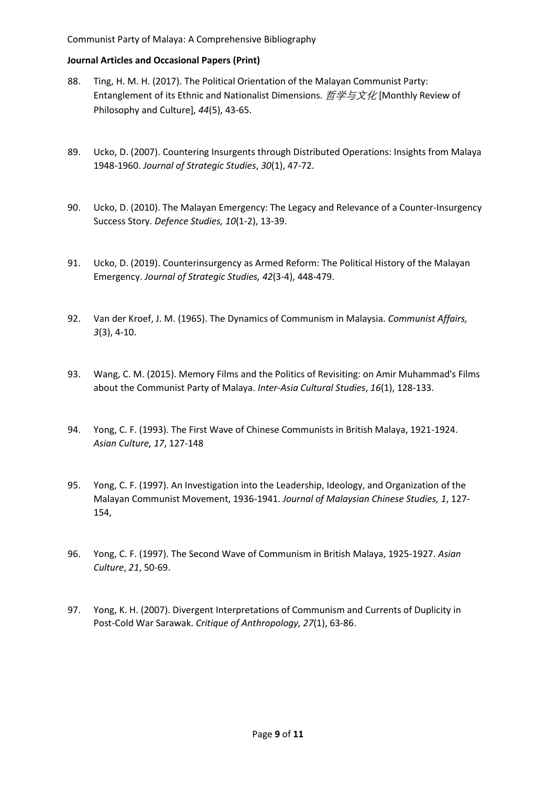- 88. Ting, H. M. H. (2017). The Political Orientation of the Malayan Communist Party: Entanglement of its Ethnic and Nationalist Dimensions.  $E \# 5x \# 5x$  [Monthly Review of Philosophy and Culture]*, 44*(5), 43-65.
- 89. Ucko, D. (2007). Countering Insurgents through Distributed Operations: Insights from Malaya 1948-1960. *Journal of Strategic Studies*, *30*(1), 47-72.
- 90. Ucko, D. (2010). The Malayan Emergency: The Legacy and Relevance of a Counter-Insurgency Success Story. *Defence Studies, 10*(1-2), 13-39.
- 91. Ucko, D. (2019). Counterinsurgency as Armed Reform: The Political History of the Malayan Emergency. *Journal of Strategic Studies, 42*(3-4), 448-479.
- 92. Van der Kroef, J. M. (1965). The Dynamics of Communism in Malaysia. *Communist Affairs, 3*(3), 4-10.
- 93. Wang, C. M. (2015). Memory Films and the Politics of Revisiting: on Amir Muhammad's Films about the Communist Party of Malaya. *Inter-Asia Cultural Studies*, *16*(1), 128-133.
- 94. Yong, C. F. (1993). The First Wave of Chinese Communists in British Malaya, 1921-1924. *Asian Culture, 17*, 127-148
- 95. Yong, C. F. (1997). An Investigation into the Leadership, Ideology, and Organization of the Malayan Communist Movement, 1936-1941. *Journal of Malaysian Chinese Studies, 1*, 127- 154,
- 96. Yong, C. F. (1997). The Second Wave of Communism in British Malaya, 1925-1927. *Asian Culture*, *21*, 50-69.
- 97. Yong, K. H. (2007). Divergent Interpretations of Communism and Currents of Duplicity in Post-Cold War Sarawak. *Critique of Anthropology, 27*(1), 63-86.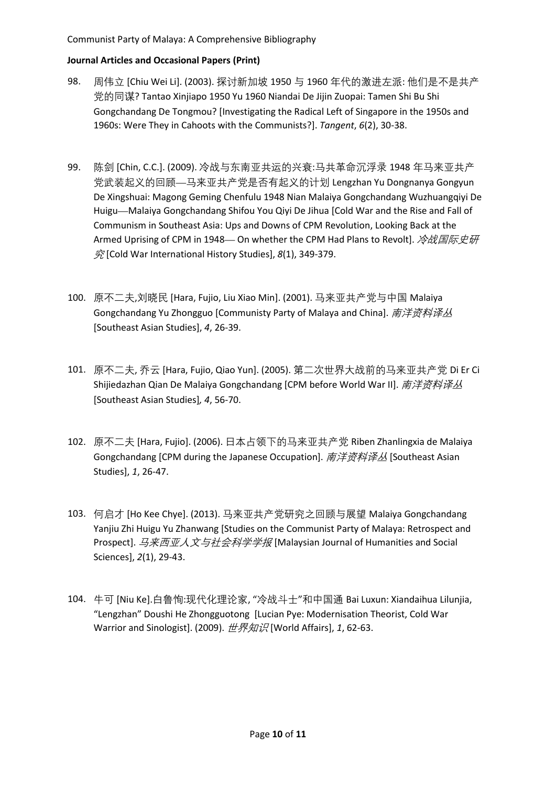# Communist Party of Malaya: A Comprehensive Bibliography

- 98. 周伟立 [Chiu Wei Li]. (2003). 探讨新加坡 1950 与 1960 年代的激进左派: 他们是不是共产 党的同谋? Tantao Xinjiapo 1950 Yu 1960 Niandai De Jijin Zuopai: Tamen Shi Bu Shi Gongchandang De Tongmou? [Investigating the Radical Left of Singapore in the 1950s and 1960s: Were They in Cahoots with the Communists?]. *Tangent*, *6*(2), 30-38.
- 99. 陈剑 [Chin, C.C.]. (2009). 冷战与东南亚共运的兴衰:马共革命沉浮录 1948 年马来亚共产 党武装起义的回顾—马来亚共产党是否有起义的计划 Lengzhan Yu Dongnanya Gongyun De Xingshuai: Magong Geming Chenfulu 1948 Nian Malaiya Gongchandang Wuzhuangqiyi De Huigu—Malaiya Gongchandang Shifou You Qiyi De Jihua [Cold War and the Rise and Fall of Communism in Southeast Asia: Ups and Downs of CPM Revolution, Looking Back at the Armed Uprising of CPM in 1948— On whether the CPM Had Plans to Revolt].  $\partial E \mathbb{E} \mathbb{E} \mathbb{E} \mathbb{E} \mathbb{E} \mathbb{E}$ 究 [Cold War International History Studies], *8*(1), 349-379.
- 100. 原不二夫,刘晓民 [Hara, Fujio, Liu Xiao Min]. (2001). 马来亚共产党与中国 Malaiya Gongchandang Yu Zhongguo [Communisty Party of Malaya and China]. 南洋资料译丛 [Southeast Asian Studies], *4*, 26-39.
- 101. 原不二夫, 乔云 [Hara, Fujio, Qiao Yun]. (2005). 第二次世界大战前的马来亚共产党 Di Er Ci Shijiedazhan Qian De Malaiya Gongchandang [CPM before World War II]. 南洋资料译丛 [Southeast Asian Studies]*, 4*, 56-70.
- 102. 原不二夫 [Hara, Fujio]. (2006). 日本占领下的马来亚共产党 Riben Zhanlingxia de Malaiya Gongchandang [CPM during the Japanese Occupation]. 南洋资料译丛 [Southeast Asian Studies], *1*, 26-47.
- 103. 何启才 [Ho Kee Chye]. (2013). 马来亚共产党研究之回顾与展望 Malaiya Gongchandang Yanjiu Zhi Huigu Yu Zhanwang [Studies on the Communist Party of Malaya: Retrospect and Prospect]. *马来西亚人文与社会科学学报* [Malaysian Journal of Humanities and Social Sciences], *2*(1), 29-43.
- 104. 牛可 [Niu Ke].白鲁恂:现代化理论家, "冷战斗士"和中国通 [Bai Luxun: Xiandaihua Lilunjia,](http://www.wanfangdata.com.cn.proxy.lib.sg/details/detail.do?_type=perio&id=sjzs200901043)  ["Lengzhan" Doushi He Zhongguotong](http://www.wanfangdata.com.cn.proxy.lib.sg/details/detail.do?_type=perio&id=sjzs200901043) [Lucian Pye: Modernisation Theorist, Cold War Warrior and Sinologist]. (2009). 世界知识 [World Affairs], *1*, 62-63.